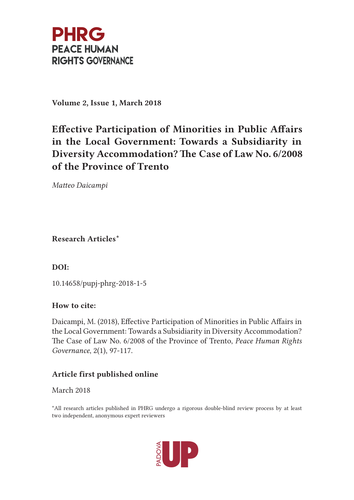

Volume 2, Issue 1, March 2018

# Efective Participation of Minorities in Public Afairs in the Local Government: Towards a Subsidiarity in Diversity Accommodation? The Case of Law No. 6/2008 of the Province of Trento

Mateo Daicampi

Research Articles\*

DOI:

10.14658/pupj-phrg-2018-1-5

## How to cite:

Daicampi, M. (2018), Efective Participation of Minorities in Public Afairs in the Local Government: Towards a Subsidiarity in Diversity Accommodation? The Case of Law No. 6/2008 of the Province of Trento, Peace Human Rights Governance, 2(1), 97-117.

## Article first published online

March 2018

\*All research articles published in PHRG undergo a rigorous double-blind review process by at least two independent, anonymous expert reviewers

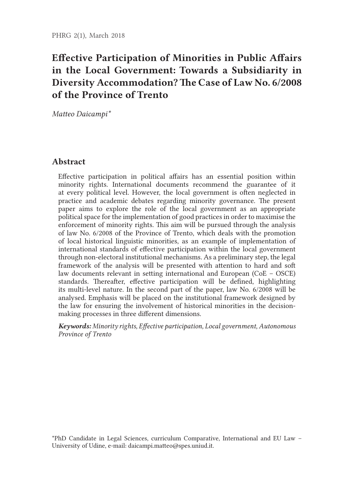# Efective Participation of Minorities in Public Afairs in the Local Government: Towards a Subsidiarity in Diversity Accommodation? The Case of Law No. 6/2008 of the Province of Trento

Mateo Daicampi\*

### Abstract

Efective participation in political afairs has an essential position within minority rights. International documents recommend the guarantee of it at every political level. However, the local government is ofen neglected in practice and academic debates regarding minority governance. The present paper aims to explore the role of the local government as an appropriate political space for the implementation of good practices in order to maximise the enforcement of minority rights. Tis aim will be pursued through the analysis of law No. 6/2008 of the Province of Trento, which deals with the promotion of local historical linguistic minorities, as an example of implementation of international standards of efective participation within the local government through non-electoral institutional mechanisms. As a preliminary step, the legal framework of the analysis will be presented with atention to hard and sof law documents relevant in seting international and European (CoE – OSCE) standards. Thereafter, effective participation will be defined, highlighting its multi-level nature. In the second part of the paper, law No. 6/2008 will be analysed. Emphasis will be placed on the institutional framework designed by the law for ensuring the involvement of historical minorities in the decisionmaking processes in three diferent dimensions.

Keywords: Minority rights, Efective participation, Local government, Autonomous Province of Trento

\*PhD Candidate in Legal Sciences, curriculum Comparative, International and EU Law – University of Udine, e-mail: daicampi.mateo@spes.uniud.it.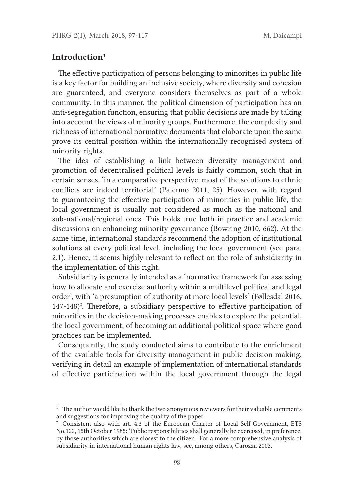#### Introduction<sup>1</sup>

The effective participation of persons belonging to minorities in public life is a key factor for building an inclusive society, where diversity and cohesion are guaranteed, and everyone considers themselves as part of a whole community. In this manner, the political dimension of participation has an anti-segregation function, ensuring that public decisions are made by taking into account the views of minority groups. Furthermore, the complexity and richness of international normative documents that elaborate upon the same prove its central position within the internationally recognised system of minority rights.

The idea of establishing a link between diversity management and promotion of decentralised political levels is fairly common, such that in certain senses, 'in a comparative perspective, most of the solutions to ethnic conficts are indeed territorial' (Palermo 2011, 25). However, with regard to guaranteeing the efective participation of minorities in public life, the local government is usually not considered as much as the national and sub-national/regional ones. This holds true both in practice and academic discussions on enhancing minority governance (Bowring 2010, 662). At the same time, international standards recommend the adoption of institutional solutions at every political level, including the local government (see para. 2.1). Hence, it seems highly relevant to refect on the role of subsidiarity in the implementation of this right.

Subsidiarity is generally intended as a 'normative framework for assessing how to allocate and exercise authority within a multilevel political and legal order', with 'a presumption of authority at more local levels' (Føllesdal 2016, 147-148)<sup>2</sup>. Therefore, a subsidiary perspective to effective participation of minorities in the decision-making processes enables to explore the potential, the local government, of becoming an additional political space where good practices can be implemented.

Consequently, the study conducted aims to contribute to the enrichment of the available tools for diversity management in public decision making, verifying in detail an example of implementation of international standards of efective participation within the local government through the legal

 $1$  The author would like to thank the two anonymous reviewers for their valuable comments and suggestions for improving the quality of the paper.

<sup>2</sup> Consistent also with art. 4.3 of the European Charter of Local Self-Government, ETS No.122, 15th October 1985: 'Public responsibilities shall generally be exercised, in preference, by those authorities which are closest to the citizen'. For a more comprehensive analysis of subsidiarity in international human rights law, see, among others, Carozza 2003.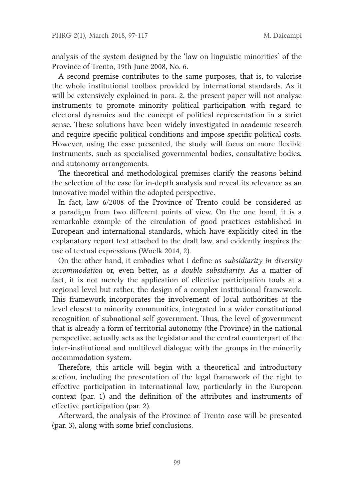analysis of the system designed by the 'law on linguistic minorities' of the Province of Trento, 19th June 2008, No. 6.

A second premise contributes to the same purposes, that is, to valorise the whole institutional toolbox provided by international standards. As it will be extensively explained in para. 2, the present paper will not analyse instruments to promote minority political participation with regard to electoral dynamics and the concept of political representation in a strict sense. These solutions have been widely investigated in academic research and require specifc political conditions and impose specifc political costs. However, using the case presented, the study will focus on more fexible instruments, such as specialised governmental bodies, consultative bodies, and autonomy arrangements.

The theoretical and methodological premises clarify the reasons behind the selection of the case for in-depth analysis and reveal its relevance as an innovative model within the adopted perspective.

In fact, law 6/2008 of the Province of Trento could be considered as a paradigm from two diferent points of view. On the one hand, it is a remarkable example of the circulation of good practices established in European and international standards, which have explicitly cited in the explanatory report text attached to the draft law, and evidently inspires the use of textual expressions (Woelk 2014, 2).

On the other hand, it embodies what I defne as subsidiarity in diversity accommodation or, even better, as a double subsidiarity. As a matter of fact, it is not merely the application of efective participation tools at a regional level but rather, the design of a complex institutional framework. This framework incorporates the involvement of local authorities at the level closest to minority communities, integrated in a wider constitutional recognition of subnational self-government. Thus, the level of government that is already a form of territorial autonomy (the Province) in the national perspective, actually acts as the legislator and the central counterpart of the inter-institutional and multilevel dialogue with the groups in the minority accommodation system.

Therefore, this article will begin with a theoretical and introductory section, including the presentation of the legal framework of the right to efective participation in international law, particularly in the European context (par. 1) and the defnition of the atributes and instruments of efective participation (par. 2).

Aferward, the analysis of the Province of Trento case will be presented (par. 3), along with some brief conclusions.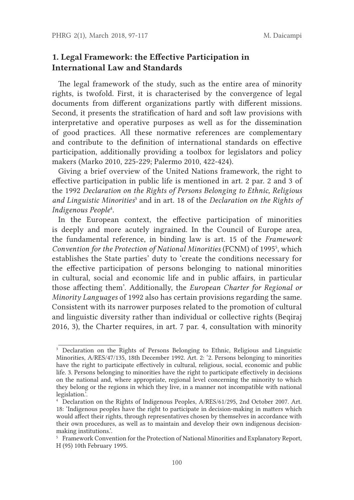## 1. Legal Framework: the Efective Participation in International Law and Standards

The legal framework of the study, such as the entire area of minority rights, is twofold. First, it is characterised by the convergence of legal documents from diferent organizations partly with diferent missions. Second, it presents the stratification of hard and soft law provisions with interpretative and operative purposes as well as for the dissemination of good practices. All these normative references are complementary and contribute to the defnition of international standards on efective participation, additionally providing a toolbox for legislators and policy makers (Marko 2010, 225-229; Palermo 2010, 422-424).

Giving a brief overview of the United Nations framework, the right to efective participation in public life is mentioned in art. 2 par. 2 and 3 of the 1992 Declaration on the Rights of Persons Belonging to Ethnic, Religious and Linguistic Minorities<sup>3</sup> and in art. 18 of the Declaration on the Rights of Indigenous People<sup>4</sup>.

In the European context, the efective participation of minorities is deeply and more acutely ingrained. In the Council of Europe area, the fundamental reference, in binding law is art. 15 of the Framework Convention for the Protection of National Minorities (FCNM) of 1995<sup>5</sup>, which establishes the State parties' duty to 'create the conditions necessary for the efective participation of persons belonging to national minorities in cultural, social and economic life and in public afairs, in particular those afecting them'. Additionally, the European Charter for Regional or Minority Languages of 1992 also has certain provisions regarding the same. Consistent with its narrower purposes related to the promotion of cultural and linguistic diversity rather than individual or collective rights (Beqiraj 2016, 3), the Charter requires, in art. 7 par. 4, consultation with minority

<sup>3</sup> Declaration on the Rights of Persons Belonging to Ethnic, Religious and Linguistic Minorities, A/RES/47/135, 18th December 1992. Art. 2: '2. Persons belonging to minorities have the right to participate efectively in cultural, religious, social, economic and public life. 3. Persons belonging to minorities have the right to participate efectively in decisions on the national and, where appropriate, regional level concerning the minority to which they belong or the regions in which they live, in a manner not incompatible with national legislation.'.

<sup>4</sup> Declaration on the Rights of Indigenous Peoples, A/RES/61/295, 2nd October 2007. Art. 18: 'Indigenous peoples have the right to participate in decision-making in maters which would afect their rights, through representatives chosen by themselves in accordance with their own procedures, as well as to maintain and develop their own indigenous decisionmaking institutions.'.

<sup>5</sup> Framework Convention for the Protection of National Minorities and Explanatory Report, H (95) 10th February 1995.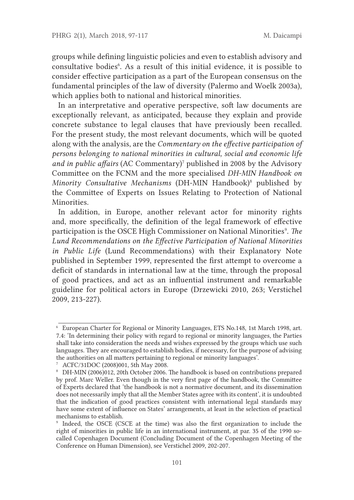groups while defning linguistic policies and even to establish advisory and consultative bodies<sup>6</sup>. As a result of this initial evidence, it is possible to consider efective participation as a part of the European consensus on the fundamental principles of the law of diversity (Palermo and Woelk 2003a), which applies both to national and historical minorities.

In an interpretative and operative perspective, soft law documents are exceptionally relevant, as anticipated, because they explain and provide concrete substance to legal clauses that have previously been recalled. For the present study, the most relevant documents, which will be quoted along with the analysis, are the Commentary on the effective participation of persons belonging to national minorities in cultural, social and economic life and in public affairs (AC Commentary)<sup>7</sup> published in 2008 by the Advisory Commitee on the FCNM and the more specialised DH-MIN Handbook on Minority Consultative Mechanisms (DH-MIN Handbook)<sup>8</sup> published by the Commitee of Experts on Issues Relating to Protection of National Minorities.

In addition, in Europe, another relevant actor for minority rights and, more specifcally, the defnition of the legal framework of efective participation is the OSCE High Commissioner on National Minorities<sup>9</sup>. The Lund Recommendations on the Efective Participation of National Minorities in Public Life (Lund Recommendations) with their Explanatory Note published in September 1999, represented the frst atempt to overcome a deficit of standards in international law at the time, through the proposal of good practices, and act as an infuential instrument and remarkable guideline for political actors in Europe (Drzewicki 2010, 263; Verstichel 2009, 213-227).

<sup>6</sup> European Charter for Regional or Minority Languages, ETS No.148, 1st March 1998, art. 7.4: 'In determining their policy with regard to regional or minority languages, the Parties shall take into consideration the needs and wishes expressed by the groups which use such languages. They are encouraged to establish bodies, if necessary, for the purpose of advising the authorities on all maters pertaining to regional or minority languages'.

<sup>7</sup> ACFC/31DOC (2008)001, 5th May 2008.

 $8$  DH-MIN (2006)012, 20th October 2006. The handbook is based on contributions prepared by prof. Marc Weller. Even though in the very frst page of the handbook, the Commitee of Experts declared that 'the handbook is not a normative document, and its dissemination does not necessarily imply that all the Member States agree with its content', it is undoubted that the indication of good practices consistent with international legal standards may have some extent of infuence on States' arrangements, at least in the selection of practical mechanisms to establish.

<sup>9</sup> Indeed, the OSCE (CSCE at the time) was also the frst organization to include the right of minorities in public life in an international instrument, at par. 35 of the 1990 socalled Copenhagen Document (Concluding Document of the Copenhagen Meeting of the Conference on Human Dimension), see Verstichel 2009, 202-207.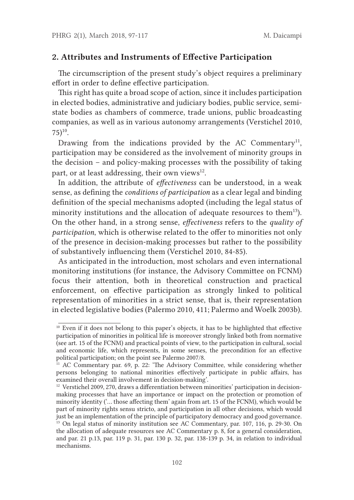#### 2. Attributes and Instruments of Efective Participation

The circumscription of the present study's object requires a preliminary efort in order to defne efective participation.

This right has quite a broad scope of action, since it includes participation in elected bodies, administrative and judiciary bodies, public service, semistate bodies as chambers of commerce, trade unions, public broadcasting companies, as well as in various autonomy arrangements (Verstichel 2010,  $75)$ <sup>10</sup>.

Drawing from the indications provided by the AC Commentary<sup>11</sup>, participation may be considered as the involvement of minority groups in the decision – and policy-making processes with the possibility of taking part, or at least addressing, their own views $^{12}$ .

In addition, the attribute of *effectiveness* can be understood, in a weak sense, as defning the conditions of participation as a clear legal and binding defnition of the special mechanisms adopted (including the legal status of minority institutions and the allocation of adequate resources to them<sup>13</sup>). On the other hand, in a strong sense, *effectiveness* refers to the *quality of* participation, which is otherwise related to the offer to minorities not only of the presence in decision-making processes but rather to the possibility of substantively infuencing them (Verstichel 2010, 84-85).

As anticipated in the introduction, most scholars and even international monitoring institutions (for instance, the Advisory Commitee on FCNM) focus their atention, both in theoretical construction and practical enforcement, on efective participation as strongly linked to political representation of minorities in a strict sense, that is, their representation in elected legislative bodies (Palermo 2010, 411; Palermo and Woelk 2003b).

<sup>&</sup>lt;sup>10</sup> Even if it does not belong to this paper's objects, it has to be highlighted that effective participation of minorities in political life is moreover strongly linked both from normative (see art. 15 of the FCNM) and practical points of view, to the participation in cultural, social and economic life, which represents, in some senses, the precondition for an efective political participation; on the point see Palermo 2007/8.

<sup>&</sup>lt;sup>11</sup> AC Commentary par. 69, p. 22: 'The Advisory Committee, while considering whether persons belonging to national minorities efectively participate in public afairs, has examined their overall involvement in decision-making'.

<sup>&</sup>lt;sup>12</sup> Verstichel 2009, 270, draws a differentiation between minorities' participation in decisionmaking processes that have an importance or impact on the protection or promotion of minority identity ('… those afecting them' again from art. 15 of the FCNM), which would be part of minority rights sensu stricto, and participation in all other decisions, which would just be an implementation of the principle of participatory democracy and good governance. <sup>13</sup> On legal status of minority institution see AC Commentary, par. 107, 116, p. 29-30. On the allocation of adequate resources see AC Commentary p. 8, for a general consideration, and par. 21 p.13, par. 119 p. 31, par. 130 p. 32, par. 138-139 p. 34, in relation to individual mechanisms.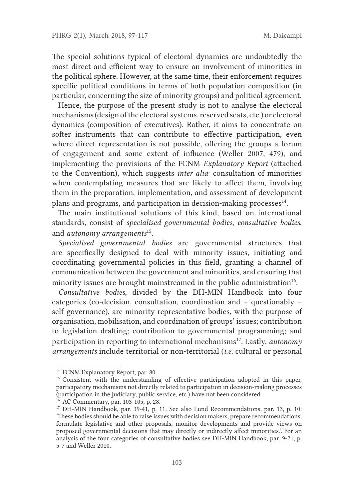The special solutions typical of electoral dynamics are undoubtedly the most direct and efficient way to ensure an involvement of minorities in the political sphere. However, at the same time, their enforcement requires specifc political conditions in terms of both population composition (in particular, concerning the size of minority groups) and political agreement.

Hence, the purpose of the present study is not to analyse the electoral mechanisms (design of the electoral systems, reserved seats, etc.) or electoral dynamics (composition of executives). Rather, it aims to concentrate on softer instruments that can contribute to effective participation, even where direct representation is not possible, offering the groups a forum of engagement and some extent of infuence (Weller 2007, 479), and implementing the provisions of the FCNM Explanatory Report (atached to the Convention), which suggests inter alia: consultation of minorities when contemplating measures that are likely to affect them, involving them in the preparation, implementation, and assessment of development plans and programs, and participation in decision-making processes<sup>14</sup>.

The main institutional solutions of this kind, based on international standards, consist of specialised governmental bodies, consultative bodies, and *autonomy* arrangements<sup>15</sup>.

Specialised governmental bodies are governmental structures that are specifcally designed to deal with minority issues, initiating and coordinating governmental policies in this feld, granting a channel of communication between the government and minorities, and ensuring that minority issues are brought mainstreamed in the public administration<sup>16</sup>.

Consultative bodies, divided by the DH-MIN Handbook into four categories (co-decision, consultation, coordination and – questionably – self-governance), are minority representative bodies, with the purpose of organisation, mobilisation, and coordination of groups' issues; contribution to legislation drafing; contribution to governmental programming; and participation in reporting to international mechanisms<sup>17</sup>. Lastly, *autonomy*  $arrangements$  include territorial or non-territorial (*i.e.* cultural or personal

<sup>14</sup> FCNM Explanatory Report, par. 80.

<sup>&</sup>lt;sup>15</sup> Consistent with the understanding of effective participation adopted in this paper, participatory mechanisms not directly related to participation in decision-making processes (participation in the judiciary, public service, etc.) have not been considered.

<sup>16</sup> AC Commentary, par. 103-105, p. 28.

<sup>&</sup>lt;sup>17</sup> DH-MIN Handbook, par. 39-41, p. 11. See also Lund Recommendations, par. 13, p. 10: 'These bodies should be able to raise issues with decision makers, prepare recommendations, formulate legislative and other proposals, monitor developments and provide views on proposed governmental decisions that may directly or indirectly afect minorities.'. For an analysis of the four categories of consultative bodies see DH-MIN Handbook, par. 9-21, p. 5-7 and Weller 2010.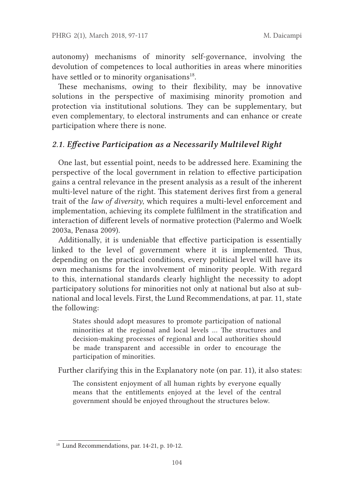autonomy) mechanisms of minority self-governance, involving the devolution of competences to local authorities in areas where minorities have settled or to minority organisations $18$ .

These mechanisms, owing to their flexibility, may be innovative solutions in the perspective of maximising minority promotion and protection via institutional solutions. They can be supplementary, but even complementary, to electoral instruments and can enhance or create participation where there is none.

## 2.1. Efective Participation as a Necessarily Multilevel Right

One last, but essential point, needs to be addressed here. Examining the perspective of the local government in relation to efective participation gains a central relevance in the present analysis as a result of the inherent multi-level nature of the right. This statement derives first from a general trait of the law of diversity, which requires a multi-level enforcement and implementation, achieving its complete fulflment in the stratifcation and interaction of diferent levels of normative protection (Palermo and Woelk 2003a, Penasa 2009).

Additionally, it is undeniable that effective participation is essentially linked to the level of government where it is implemented. Tus, depending on the practical conditions, every political level will have its own mechanisms for the involvement of minority people. With regard to this, international standards clearly highlight the necessity to adopt participatory solutions for minorities not only at national but also at subnational and local levels. First, the Lund Recommendations, at par. 11, state the following:

States should adopt measures to promote participation of national minorities at the regional and local levels ... The structures and decision-making processes of regional and local authorities should be made transparent and accessible in order to encourage the participation of minorities.

Further clarifying this in the Explanatory note (on par. 11), it also states:

The consistent enjoyment of all human rights by everyone equally means that the entitlements enjoyed at the level of the central government should be enjoyed throughout the structures below.

<sup>18</sup> Lund Recommendations, par. 14-21, p. 10-12.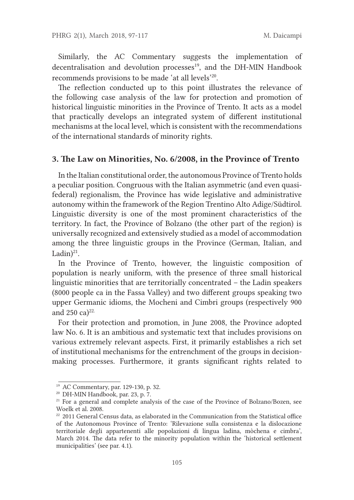Similarly, the AC Commentary suggests the implementation of decentralisation and devolution processes<sup>19</sup>, and the DH-MIN Handbook recommends provisions to be made 'at all levels'20.

The reflection conducted up to this point illustrates the relevance of the following case analysis of the law for protection and promotion of historical linguistic minorities in the Province of Trento. It acts as a model that practically develops an integrated system of diferent institutional mechanisms at the local level, which is consistent with the recommendations of the international standards of minority rights.

#### 3. The Law on Minorities, No. 6/2008, in the Province of Trento

In the Italian constitutional order, the autonomous Province of Trento holds a peculiar position. Congruous with the Italian asymmetric (and even quasifederal) regionalism, the Province has wide legislative and administrative autonomy within the framework of the Region Trentino Alto Adige/Südtirol. Linguistic diversity is one of the most prominent characteristics of the territory. In fact, the Province of Bolzano (the other part of the region) is universally recognized and extensively studied as a model of accommodation among the three linguistic groups in the Province (German, Italian, and Ladin $)^{21}$ .

In the Province of Trento, however, the linguistic composition of population is nearly uniform, with the presence of three small historical linguistic minorities that are territorially concentrated – the Ladin speakers (8000 people ca in the Fassa Valley) and two diferent groups speaking two upper Germanic idioms, the Mocheni and Cimbri groups (respectively 900 and 250 ca) $22$ .

For their protection and promotion, in June 2008, the Province adopted law No. 6. It is an ambitious and systematic text that includes provisions on various extremely relevant aspects. First, it primarily establishes a rich set of institutional mechanisms for the entrenchment of the groups in decisionmaking processes. Furthermore, it grants signifcant rights related to

<sup>19</sup> AC Commentary, par. 129-130, p. 32.

<sup>20</sup> DH-MIN Handbook, par. 23, p. 7.

 $21$  For a general and complete analysis of the case of the Province of Bolzano/Bozen, see Woelk et al. 2008.

 $22$  2011 General Census data, as elaborated in the Communication from the Statistical office of the Autonomous Province of Trento: 'Rilevazione sulla consistenza e la dislocazione territoriale degli appartenenti alle popolazioni di lingua ladina, mòchena e cimbra', March 2014. The data refer to the minority population within the 'historical settlement municipalities' (see par. 4.1).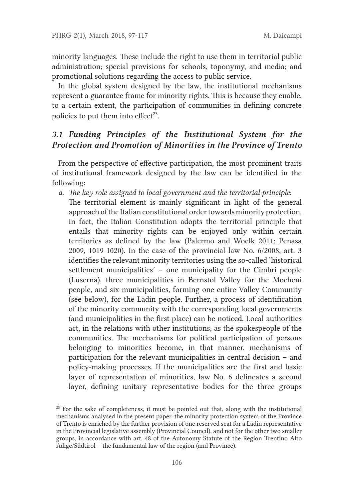minority languages. These include the right to use them in territorial public administration; special provisions for schools, toponymy, and media; and promotional solutions regarding the access to public service.

In the global system designed by the law, the institutional mechanisms represent a guarantee frame for minority rights. This is because they enable, to a certain extent, the participation of communities in defning concrete policies to put them into effect $23$ .

# 3.1 Funding Principles of the Institutional System for the Protection and Promotion of Minorities in the Province of Trento

From the perspective of effective participation, the most prominent traits of institutional framework designed by the law can be identifed in the following:

- a. The key role assigned to local government and the territorial principle:
	- The territorial element is mainly significant in light of the general approach of the Italian constitutional order towards minority protection. In fact, the Italian Constitution adopts the territorial principle that entails that minority rights can be enjoyed only within certain territories as defned by the law (Palermo and Woelk 2011; Penasa 2009, 1019-1020). In the case of the provincial law No. 6/2008, art. 3 identifes the relevant minority territories using the so-called 'historical setlement municipalities' – one municipality for the Cimbri people (Luserna), three municipalities in Bernstol Valley for the Mocheni people, and six municipalities, forming one entire Valley Community (see below), for the Ladin people. Further, a process of identifcation of the minority community with the corresponding local governments (and municipalities in the frst place) can be noticed. Local authorities act, in the relations with other institutions, as the spokespeople of the communities. The mechanisms for political participation of persons belonging to minorities become, in that manner, mechanisms of participation for the relevant municipalities in central decision – and policy-making processes. If the municipalities are the frst and basic layer of representation of minorities, law No. 6 delineates a second layer, defning unitary representative bodies for the three groups

<sup>&</sup>lt;sup>23</sup> For the sake of completeness, it must be pointed out that, along with the institutional mechanisms analysed in the present paper, the minority protection system of the Province of Trento is enriched by the further provision of one reserved seat for a Ladin representative in the Provincial legislative assembly (Provincial Council), and not for the other two smaller groups, in accordance with art. 48 of the Autonomy Statute of the Region Trentino Alto Adige/Südtirol – the fundamental law of the region (and Province).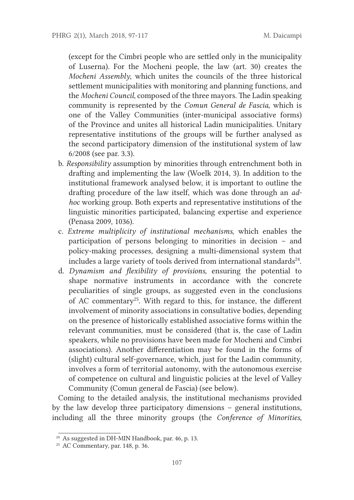(except for the Cimbri people who are setled only in the municipality of Luserna). For the Mocheni people, the law (art. 30) creates the Mocheni Assembly, which unites the councils of the three historical setlement municipalities with monitoring and planning functions, and the Mocheni Council, composed of the three mayors. The Ladin speaking community is represented by the Comun General de Fascia, which is one of the Valley Communities (inter-municipal associative forms) of the Province and unites all historical Ladin municipalities. Unitary representative institutions of the groups will be further analysed as the second participatory dimension of the institutional system of law 6/2008 (see par. 3.3).

- b. Responsibility assumption by minorities through entrenchment both in drafing and implementing the law (Woelk 2014, 3). In addition to the institutional framework analysed below, it is important to outline the drafing procedure of the law itself, which was done through an adhoc working group. Both experts and representative institutions of the linguistic minorities participated, balancing expertise and experience (Penasa 2009, 1036).
- c. Extreme multiplicity of institutional mechanisms, which enables the participation of persons belonging to minorities in decision – and policy-making processes, designing a multi-dimensional system that includes a large variety of tools derived from international standards<sup>24</sup>.
- d. Dynamism and fexibility of provisions, ensuring the potential to shape normative instruments in accordance with the concrete peculiarities of single groups, as suggested even in the conclusions of AC commentary25. With regard to this, for instance, the diferent involvement of minority associations in consultative bodies, depending on the presence of historically established associative forms within the relevant communities, must be considered (that is, the case of Ladin speakers, while no provisions have been made for Mocheni and Cimbri associations). Another diferentiation may be found in the forms of (slight) cultural self-governance, which, just for the Ladin community, involves a form of territorial autonomy, with the autonomous exercise of competence on cultural and linguistic policies at the level of Valley Community (Comun general de Fascia) (see below).

Coming to the detailed analysis, the institutional mechanisms provided by the law develop three participatory dimensions – general institutions, including all the three minority groups (the Conference of Minorities,

<sup>&</sup>lt;sup>24</sup> As suggested in DH-MIN Handbook, par. 46, p. 13.

<sup>25</sup> AC Commentary, par. 148, p. 36.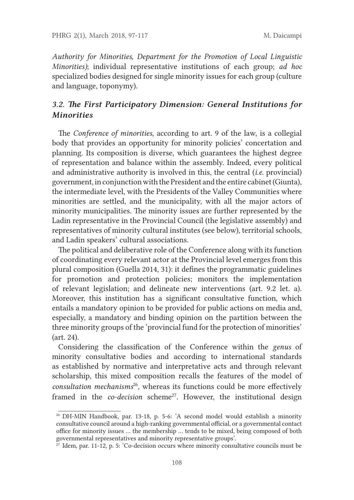Authority for Minorities, Department for the Promotion of Local Linguistic Minorities); individual representative institutions of each group; ad hoc specialized bodies designed for single minority issues for each group (culture and language, toponymy).

## 3.2. The First Participatory Dimension: General Institutions for Minorities

The Conference of minorities, according to art. 9 of the law, is a collegial body that provides an opportunity for minority policies' concertation and planning. Its composition is diverse, which guarantees the highest degree of representation and balance within the assembly. Indeed, every political and administrative authority is involved in this, the central  $(i.e.$  provincial) government, in conjunction with the President and the entire cabinet (Giunta), the intermediate level, with the Presidents of the Valley Communities where minorities are setled, and the municipality, with all the major actors of minority municipalities. The minority issues are further represented by the Ladin representative in the Provincial Council (the legislative assembly) and representatives of minority cultural institutes (see below), territorial schools, and Ladin speakers' cultural associations.

The political and deliberative role of the Conference along with its function of coordinating every relevant actor at the Provincial level emerges from this plural composition (Guella 2014, 31): it defnes the programmatic guidelines for promotion and protection policies; monitors the implementation of relevant legislation; and delineate new interventions (art. 9.2 let. a). Moreover, this institution has a signifcant consultative function, which entails a mandatory opinion to be provided for public actions on media and, especially, a mandatory and binding opinion on the partition between the three minority groups of the 'provincial fund for the protection of minorities' (art. 24).

Considering the classifcation of the Conference within the genus of minority consultative bodies and according to international standards as established by normative and interpretative acts and through relevant scholarship, this mixed composition recalls the features of the model of  $consultation$  mechanisms $^{26}$ , whereas its functions could be more effectively framed in the *co-decision* scheme<sup>27</sup>. However, the institutional design

<sup>26</sup> DH-MIN Handbook, par. 13-18, p. 5-6: 'A second model would establish a minority consultative council around a high-ranking governmental official, or a governmental contact office for minority issues ... the membership ... tends to be mixed, being composed of both governmental representatives and minority representative groups'.

 $\frac{27}{27}$  Idem, par. 11-12, p. 5: 'Co-decision occurs where minority consultative councils must be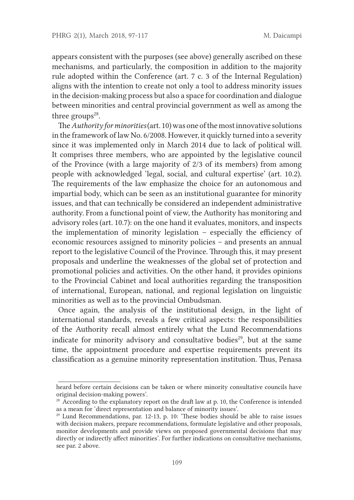appears consistent with the purposes (see above) generally ascribed on these mechanisms, and particularly, the composition in addition to the majority rule adopted within the Conference (art. 7 c. 3 of the Internal Regulation) aligns with the intention to create not only a tool to address minority issues in the decision-making process but also a space for coordination and dialogue between minorities and central provincial government as well as among the three groups $28$ .

The Authority for minorities (art. 10) was one of the most innovative solutions in the framework of law No. 6/2008. However, it quickly turned into a severity since it was implemented only in March 2014 due to lack of political will. It comprises three members, who are appointed by the legislative council of the Province (with a large majority of 2/3 of its members) from among people with acknowledged 'legal, social, and cultural expertise' (art. 10.2). The requirements of the law emphasize the choice for an autonomous and impartial body, which can be seen as an institutional guarantee for minority issues, and that can technically be considered an independent administrative authority. From a functional point of view, the Authority has monitoring and advisory roles (art. 10.7): on the one hand it evaluates, monitors, and inspects the implementation of minority legislation  $-$  especially the efficiency of economic resources assigned to minority policies – and presents an annual report to the legislative Council of the Province. Through this, it may present proposals and underline the weaknesses of the global set of protection and promotional policies and activities. On the other hand, it provides opinions to the Provincial Cabinet and local authorities regarding the transposition of international, European, national, and regional legislation on linguistic minorities as well as to the provincial Ombudsman.

Once again, the analysis of the institutional design, in the light of international standards, reveals a few critical aspects: the responsibilities of the Authority recall almost entirely what the Lund Recommendations indicate for minority advisory and consultative bodies<sup>29</sup>, but at the same time, the appointment procedure and expertise requirements prevent its classifcation as a genuine minority representation institution. Tus, Penasa

heard before certain decisions can be taken or where minority consultative councils have original decision-making powers'.

 $28$  According to the explanatory report on the draft law at p. 10, the Conference is intended as a mean for 'direct representation and balance of minority issues'.

<sup>&</sup>lt;sup>29</sup> Lund Recommendations, par. 12-13, p. 10: 'These bodies should be able to raise issues with decision makers, prepare recommendations, formulate legislative and other proposals, monitor developments and provide views on proposed governmental decisions that may directly or indirectly afect minorities'. For further indications on consultative mechanisms, see par. 2 above.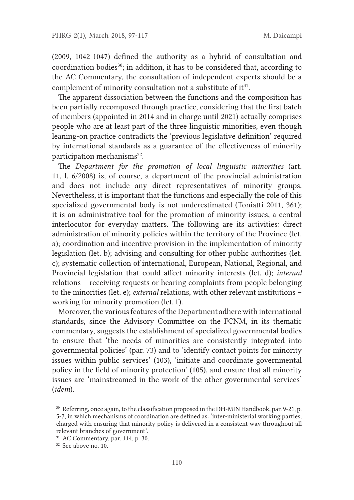(2009, 1042-1047) defned the authority as a hybrid of consultation and coordination bodies<sup>30</sup>; in addition, it has to be considered that, according to the AC Commentary, the consultation of independent experts should be a complement of minority consultation not a substitute of  $it<sup>31</sup>$ .

The apparent dissociation between the functions and the composition has been partially recomposed through practice, considering that the frst batch of members (appointed in 2014 and in charge until 2021) actually comprises people who are at least part of the three linguistic minorities, even though leaning-on practice contradicts the 'previous legislative defnition' required by international standards as a guarantee of the efectiveness of minority participation mechanisms<sup>32</sup>.

The Department for the promotion of local linguistic minorities (art. 11, l. 6/2008) is, of course, a department of the provincial administration and does not include any direct representatives of minority groups. Nevertheless, it is important that the functions and especially the role of this specialized governmental body is not underestimated (Toniati 2011, 361); it is an administrative tool for the promotion of minority issues, a central interlocutor for everyday matters. The following are its activities: direct administration of minority policies within the territory of the Province (let. a); coordination and incentive provision in the implementation of minority legislation (let. b); advising and consulting for other public authorities (let. c); systematic collection of international, European, National, Regional, and Provincial legislation that could affect minority interests (let. d); *internal* relations – receiving requests or hearing complaints from people belonging to the minorities (let. e); external relations, with other relevant institutions – working for minority promotion (let. f).

Moreover, the various features of the Department adhere with international standards, since the Advisory Commitee on the FCNM, in its thematic commentary, suggests the establishment of specialized governmental bodies to ensure that 'the needs of minorities are consistently integrated into governmental policies' (par. 73) and to 'identify contact points for minority issues within public services' (103), 'initiate and coordinate governmental policy in the feld of minority protection' (105), and ensure that all minority issues are 'mainstreamed in the work of the other governmental services' (idem).

<sup>&</sup>lt;sup>30</sup> Referring, once again, to the classification proposed in the DH-MIN Handbook, par. 9-21, p. 5-7, in which mechanisms of coordination are defned as: 'inter-ministerial working parties, charged with ensuring that minority policy is delivered in a consistent way throughout all relevant branches of government'.

<sup>31</sup> AC Commentary, par. 114, p. 30.

<sup>&</sup>lt;sup>32</sup> See above no. 10.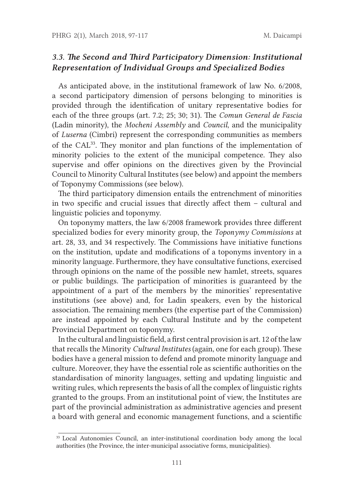## 3.3. The Second and Third Participatory Dimension: Institutional Representation of Individual Groups and Specialized Bodies

As anticipated above, in the institutional framework of law No. 6/2008, a second participatory dimension of persons belonging to minorities is provided through the identifcation of unitary representative bodies for each of the three groups (art. 7.2; 25; 30; 31). The Comun General de Fascia (Ladin minority), the Mocheni Assembly and Council, and the municipality of Luserna (Cimbri) represent the corresponding communities as members of the CAL<sup>33</sup>. They monitor and plan functions of the implementation of minority policies to the extent of the municipal competence. They also supervise and offer opinions on the directives given by the Provincial Council to Minority Cultural Institutes (see below) and appoint the members of Toponymy Commissions (see below).

The third participatory dimension entails the entrenchment of minorities in two specifc and crucial issues that directly afect them – cultural and linguistic policies and toponymy.

On toponymy maters, the law 6/2008 framework provides three diferent specialized bodies for every minority group, the Toponymy Commissions at art. 28, 33, and 34 respectively. The Commissions have initiative functions on the institution, update and modifcations of a toponyms inventory in a minority language. Furthermore, they have consultative functions, exercised through opinions on the name of the possible new hamlet, streets, squares or public buildings. The participation of minorities is guaranteed by the appointment of a part of the members by the minorities' representative institutions (see above) and, for Ladin speakers, even by the historical association. The remaining members (the expertise part of the Commission) are instead appointed by each Cultural Institute and by the competent Provincial Department on toponymy.

In the cultural and linguistic feld, a frst central provision is art. 12 of the law that recalls the Minority Cultural Institutes (again, one for each group). These bodies have a general mission to defend and promote minority language and culture. Moreover, they have the essential role as scientifc authorities on the standardisation of minority languages, seting and updating linguistic and writing rules, which represents the basis of all the complex of linguistic rights granted to the groups. From an institutional point of view, the Institutes are part of the provincial administration as administrative agencies and present a board with general and economic management functions, and a scientifc

<sup>&</sup>lt;sup>33</sup> Local Autonomies Council, an inter-institutional coordination body among the local authorities (the Province, the inter-municipal associative forms, municipalities).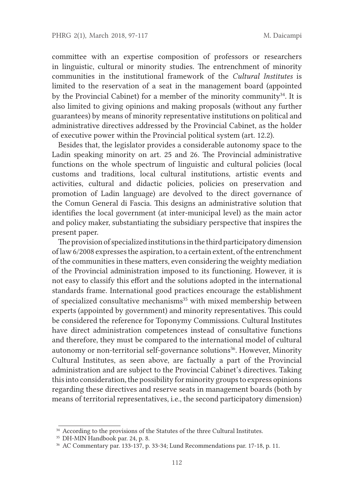commitee with an expertise composition of professors or researchers in linguistic, cultural or minority studies. The entrenchment of minority communities in the institutional framework of the Cultural Institutes is limited to the reservation of a seat in the management board (appointed by the Provincial Cabinet) for a member of the minority community<sup>34</sup>. It is also limited to giving opinions and making proposals (without any further guarantees) by means of minority representative institutions on political and administrative directives addressed by the Provincial Cabinet, as the holder of executive power within the Provincial political system (art. 12.2).

Besides that, the legislator provides a considerable autonomy space to the Ladin speaking minority on art. 25 and 26. The Provincial administrative functions on the whole spectrum of linguistic and cultural policies (local customs and traditions, local cultural institutions, artistic events and activities, cultural and didactic policies, policies on preservation and promotion of Ladin language) are devolved to the direct governance of the Comun General di Fascia. This designs an administrative solution that identifes the local government (at inter-municipal level) as the main actor and policy maker, substantiating the subsidiary perspective that inspires the present paper.

The provision of specialized institutions in the third participatory dimension of law 6/2008 expresses the aspiration, to a certain extent, of the entrenchment of the communities in these maters, even considering the weighty mediation of the Provincial administration imposed to its functioning. However, it is not easy to classify this efort and the solutions adopted in the international standards frame. International good practices encourage the establishment of specialized consultative mechanisms<sup>35</sup> with mixed membership between experts (appointed by government) and minority representatives. This could be considered the reference for Toponymy Commissions. Cultural Institutes have direct administration competences instead of consultative functions and therefore, they must be compared to the international model of cultural autonomy or non-territorial self-governance solutions<sup>36</sup>. However, Minority Cultural Institutes, as seen above, are factually a part of the Provincial administration and are subject to the Provincial Cabinet's directives. Taking this into consideration, the possibility for minority groups to express opinions regarding these directives and reserve seats in management boards (both by means of territorial representatives, i.e., the second participatory dimension)

<sup>&</sup>lt;sup>34</sup> According to the provisions of the Statutes of the three Cultural Institutes.

<sup>35</sup> DH-MIN Handbook par. 24, p. 8.

<sup>36</sup> AC Commentary par. 133-137, p. 33-34; Lund Recommendations par. 17-18, p. 11.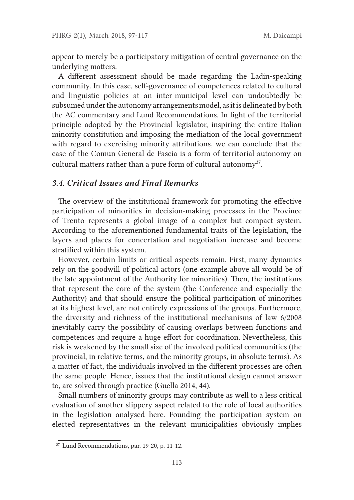appear to merely be a participatory mitigation of central governance on the underlying maters.

A diferent assessment should be made regarding the Ladin-speaking community. In this case, self-governance of competences related to cultural and linguistic policies at an inter-municipal level can undoubtedly be subsumed under the autonomy arrangements model, as it is delineated by both the AC commentary and Lund Recommendations. In light of the territorial principle adopted by the Provincial legislator, inspiring the entire Italian minority constitution and imposing the mediation of the local government with regard to exercising minority atributions, we can conclude that the case of the Comun General de Fascia is a form of territorial autonomy on cultural matters rather than a pure form of cultural autonomy<sup>37</sup>.

#### 3.4. Critical Issues and Final Remarks

The overview of the institutional framework for promoting the effective participation of minorities in decision-making processes in the Province of Trento represents a global image of a complex but compact system. According to the aforementioned fundamental traits of the legislation, the layers and places for concertation and negotiation increase and become stratifed within this system.

However, certain limits or critical aspects remain. First, many dynamics rely on the goodwill of political actors (one example above all would be of the late appointment of the Authority for minorities). Then, the institutions that represent the core of the system (the Conference and especially the Authority) and that should ensure the political participation of minorities at its highest level, are not entirely expressions of the groups. Furthermore, the diversity and richness of the institutional mechanisms of law 6/2008 inevitably carry the possibility of causing overlaps between functions and competences and require a huge efort for coordination. Nevertheless, this risk is weakened by the small size of the involved political communities (the provincial, in relative terms, and the minority groups, in absolute terms). As a mater of fact, the individuals involved in the diferent processes are ofen the same people. Hence, issues that the institutional design cannot answer to, are solved through practice (Guella 2014, 44).

Small numbers of minority groups may contribute as well to a less critical evaluation of another slippery aspect related to the role of local authorities in the legislation analysed here. Founding the participation system on elected representatives in the relevant municipalities obviously implies

 $37$  Lund Recommendations, par. 19-20, p. 11-12.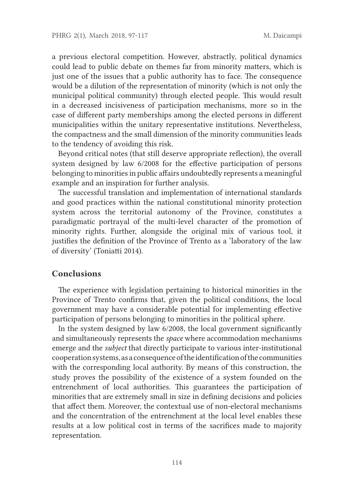a previous electoral competition. However, abstractly, political dynamics could lead to public debate on themes far from minority maters, which is just one of the issues that a public authority has to face. The consequence would be a dilution of the representation of minority (which is not only the municipal political community) through elected people. This would result in a decreased incisiveness of participation mechanisms, more so in the case of diferent party memberships among the elected persons in diferent municipalities within the unitary representative institutions. Nevertheless, the compactness and the small dimension of the minority communities leads to the tendency of avoiding this risk.

Beyond critical notes (that still deserve appropriate refection), the overall system designed by law 6/2008 for the efective participation of persons belonging to minorities in public affairs undoubtedly represents a meaningful example and an inspiration for further analysis.

The successful translation and implementation of international standards and good practices within the national constitutional minority protection system across the territorial autonomy of the Province, constitutes a paradigmatic portrayal of the multi-level character of the promotion of minority rights. Further, alongside the original mix of various tool, it justifes the defnition of the Province of Trento as a 'laboratory of the law of diversity' (Toniati 2014).

#### Conclusions

The experience with legislation pertaining to historical minorities in the Province of Trento confrms that, given the political conditions, the local government may have a considerable potential for implementing efective participation of persons belonging to minorities in the political sphere.

In the system designed by law 6/2008, the local government signifcantly and simultaneously represents the space where accommodation mechanisms emerge and the subject that directly participate to various inter-institutional cooperation systems, as a consequence of the identifcation of the communities with the corresponding local authority. By means of this construction, the study proves the possibility of the existence of a system founded on the entrenchment of local authorities. This guarantees the participation of minorities that are extremely small in size in defning decisions and policies that afect them. Moreover, the contextual use of non-electoral mechanisms and the concentration of the entrenchment at the local level enables these results at a low political cost in terms of the sacrifces made to majority representation.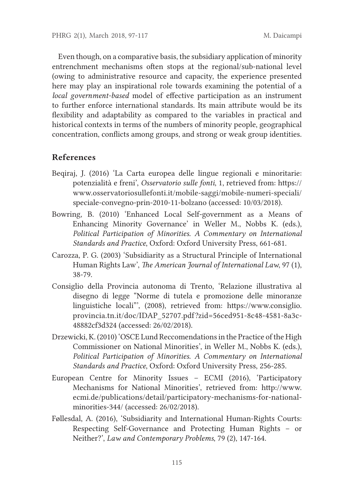Even though, on a comparative basis, the subsidiary application of minority entrenchment mechanisms often stops at the regional/sub-national level (owing to administrative resource and capacity, the experience presented here may play an inspirational role towards examining the potential of a local government-based model of effective participation as an instrument to further enforce international standards. Its main atribute would be its fexibility and adaptability as compared to the variables in practical and historical contexts in terms of the numbers of minority people, geographical concentration, conficts among groups, and strong or weak group identities.

### References

- Beqiraj, J. (2016) 'La Carta europea delle lingue regionali e minoritarie: potenzialità e freni', Osservatorio sulle fonti, 1, retrieved from: htps:// www.osservatoriosullefonti.it/mobile-saggi/mobile-numeri-speciali/ speciale-convegno-prin-2010-11-bolzano (accessed: 10/03/2018).
- Bowring, B. (2010) 'Enhanced Local Self-government as a Means of Enhancing Minority Governance' in Weller M., Nobbs K. (eds.), Political Participation of Minorities. A Commentary on International Standards and Practice, Oxford: Oxford University Press, 661-681.
- Carozza, P. G. (2003) 'Subsidiarity as a Structural Principle of International Human Rights Law', The American Journal of International Law, 97 (1), 38-79.
- Consiglio della Provincia autonoma di Trento, 'Relazione illustrativa al disegno di legge "Norme di tutela e promozione delle minoranze linguistiche locali"', (2008), retrieved from: htps://www.consiglio. provincia.tn.it/doc/IDAP\_52707.pdf?zid=56ced951-8c48-4581-8a3c-48882cf3d324 (accessed: 26/02/2018).
- Drzewicki, K. (2010) 'OSCE Lund Reccomendations in the Practice of the High Commissioner on National Minorities', in Weller M., Nobbs K. (eds.), Political Participation of Minorities. A Commentary on International Standards and Practice, Oxford: Oxford University Press, 256-285.
- European Centre for Minority Issues ECMI (2016), 'Participatory Mechanisms for National Minorities', retrieved from: htp://www. ecmi.de/publications/detail/participatory-mechanisms-for-nationalminorities-344/ (accessed: 26/02/2018).
- Føllesdal, A. (2016), 'Subsidiarity and International Human-Rights Courts: Respecting Self-Governance and Protecting Human Rights – or Neither?', Law and Contemporary Problems, 79 (2), 147-164.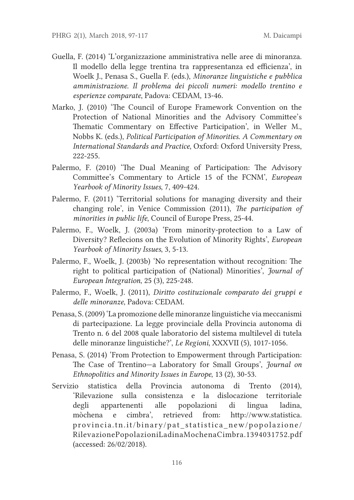- Guella, F. (2014) 'L'organizzazione amministrativa nelle aree di minoranza. Il modello della legge trentina tra rappresentanza ed efficienza', in Woelk J., Penasa S., Guella F. (eds.), Minoranze linguistiche e pubblica amministrazione. Il problema dei piccoli numeri: modello trentino e esperienze comparate, Padova: CEDAM, 13-46.
- Marko, J. (2010) 'The Council of Europe Framework Convention on the Protection of National Minorities and the Advisory Commitee's Thematic Commentary on Effective Participation', in Weller M., Nobbs K. (eds.), Political Participation of Minorities. A Commentary on International Standards and Practice, Oxford: Oxford University Press, 222-255.
- Palermo, F. (2010) 'The Dual Meaning of Participation: The Advisory Commitee's Commentary to Article 15 of the FCNM', European Yearbook of Minority Issues, 7, 409-424.
- Palermo, F. (2011) 'Territorial solutions for managing diversity and their changing role', in Venice Commission (2011), The participation of minorities in public life, Council of Europe Press, 25-44.
- Palermo, F., Woelk, J. (2003a) 'From minority-protection to a Law of Diversity? Reflecions on the Evolution of Minority Rights', European Yearbook of Minority Issues, 3, 5-13.
- Palermo, F., Woelk, J. (2003b) 'No representation without recognition: The right to political participation of (National) Minorities', Journal of European Integration, 25 (3), 225-248.
- Palermo, F., Woelk, J. (2011), Dirito costituzionale comparato dei gruppi e delle minoranze, Padova: CEDAM.
- Penasa, S. (2009) 'La promozione delle minoranze linguistiche via meccanismi di partecipazione. La legge provinciale della Provincia autonoma di Trento n. 6 del 2008 quale laboratorio del sistema multilevel di tutela delle minoranze linguistiche?', Le Regioni, XXXVII (5), 1017-1056.
- Penasa, S. (2014) 'From Protection to Empowerment through Participation: The Case of Trentino—a Laboratory for Small Groups', Journal on Ethnopolitics and Minority Issues in Europe, 13 (2), 30-53.
- Servizio statistica della Provincia autonoma di Trento (2014), 'Rilevazione sulla consistenza e la dislocazione territoriale degli appartenenti alle popolazioni di lingua ladina, mòchena e cimbra', retrieved from: htp://www.statistica. provincia.tn.it/binary/pat\_statistica\_new/popolazione/ RilevazionePopolazioniLadinaMochenaCimbra.1394031752.pdf (accessed: 26/02/2018).